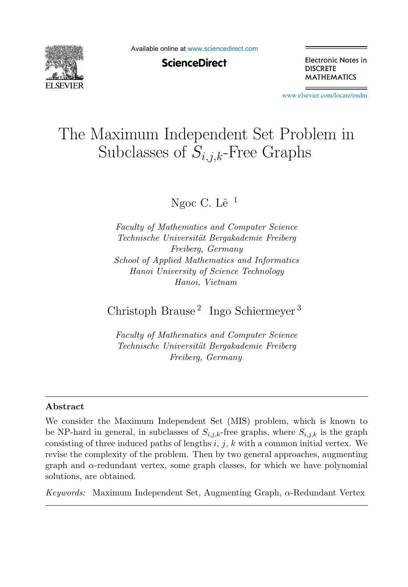

Available online at [www.sciencedirect.com](http://www.sciencedirect.com)

**ScienceDirect** 

Electronic Notes in **DISCRETE MATHEMATICS** 

[www.elsevier.com/locate/endm](http://www.elsevier.com/locate/endm)

# The Maximum Independent Set Problem in Subclasses of  $S_{i,j,k}$ -Free Graphs

Ngoc C. Lê $^{-1}$ 

*Faculty of Mathematics and Computer Science Technische Universit¨at Bergakademie Freiberg Freiberg, Germany School of Applied Mathematics and Informatics Hanoi University of Science Technology Hanoi, Vietnam*

Christoph Brause <sup>2</sup> Ingo Schiermeyer <sup>3</sup>

*Faculty of Mathematics and Computer Science Technische Universit¨at Bergakademie Freiberg Freiberg, Germany*

#### **Abstract**

We consider the Maximum Independent Set (MIS) problem, which is known to be NP-hard in general, in subclasses of  $S_{i,j,k}$ -free graphs, where  $S_{i,j,k}$  is the graph consisting of three induced paths of lengths  $i, j, k$  with a common initial vertex. We revise the complexity of the problem. Then by two general approaches, augmenting graph and  $\alpha$ -redundant vertex, some graph classes, for which we have polynomial solutions, are obtained.

*Keywords:* Maximum Independent Set, Augmenting Graph, α-Redundant Vertex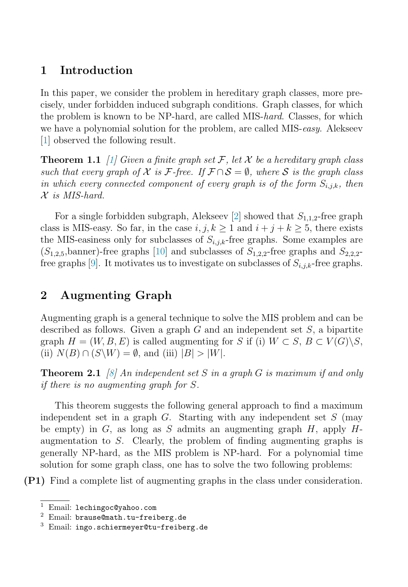# **1 Introduction**

In this paper, we consider the problem in hereditary graph classes, more precisely, under forbidden induced subgraph conditions. Graph classes, for which the problem is known to be NP-hard, are called MIS-hard. Classes, for which we have a polynomial solution for the problem, are called MIS-easy. Alekseev [\[1\]](#page-5-0) observed the following result.

**Theorem 1.1** [\[1\]](#page-5-0) Given a finite graph set F, let X be a hereditary graph class such that every graph of X is F-free. If  $\mathcal{F} \cap \mathcal{S} = \emptyset$ , where S is the graph class in which every connected component of every graph is of the form  $S_{i,j,k}$ , then  $X$  is MIS-hard.

For a single forbidden subgraph, Alekseev [\[2\]](#page-5-0) showed that  $S_{1,1,2}$ -free graph class is MIS-easy. So far, in the case  $i, j, k \ge 1$  and  $i + j + k \ge 5$ , there exists the MIS-easiness only for subclasses of  $S_{i,j,k}$ -free graphs. Some examples are  $(S_{1,2,5}, \text{banner})$ -free graphs [\[10\]](#page-6-0) and subclasses of  $S_{1,2,2}$ -free graphs and  $S_{2,2,2}$ -free graphs [\[9\]](#page-6-0). It motivates us to investigate on subclasses of  $S_{i,j,k}$ -free graphs.

# **2 Augmenting Graph**

Augmenting graph is a general technique to solve the MIS problem and can be described as follows. Given a graph  $G$  and an independent set  $S$ , a bipartite graph  $H = (W, B, E)$  is called augmenting for S if (i)  $W \subset S$ ,  $B \subset V(G) \backslash S$ , (ii)  $N(B) \cap (S \backslash W) = \emptyset$ , and (iii)  $|B| > |W|$ .

**Theorem 2.1** [\[8\]](#page-6-0) An independent set S in a graph G is maximum if and only if there is no augmenting graph for S.

This theorem suggests the following general approach to find a maximum independent set in a graph  $G$ . Starting with any independent set  $S$  (may be empty) in G, as long as S admits an augmenting graph  $H$ , apply  $H$ augmentation to S. Clearly, the problem of finding augmenting graphs is generally NP-hard, as the MIS problem is NP-hard. For a polynomial time solution for some graph class, one has to solve the two following problems:

**(P1)** Find a complete list of augmenting graphs in the class under consideration.

<sup>1</sup> Email: lechingoc@yahoo.com

<sup>2</sup> Email: brause@math.tu-freiberg.de

<sup>3</sup> Email: ingo.schiermeyer@tu-freiberg.de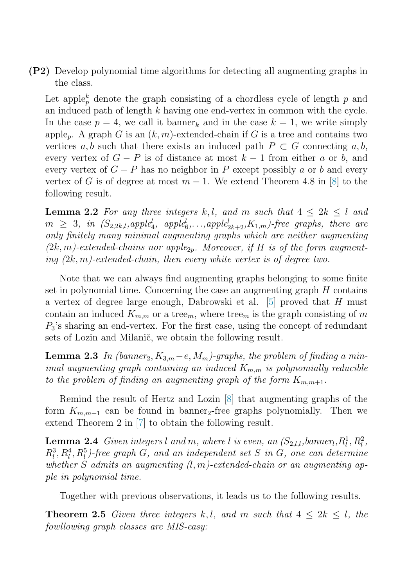**(P2)** Develop polynomial time algorithms for detecting all augmenting graphs in the class.

Let apple<sub>p</sub> denote the graph consisting of a chordless cycle of length  $p$  and an induced path of length  $k$  having one end-vertex in common with the cycle. In the case  $p = 4$ , we call it banner<sub>k</sub> and in the case  $k = 1$ , we write simply apple<sub>p</sub>. A graph G is an  $(k, m)$ -extended-chain if G is a tree and contains two vertices a, b such that there exists an induced path  $P \subset G$  connecting a, b, every vertex of  $G - P$  is of distance at most  $k - 1$  from either a or b, and every vertex of  $G - P$  has no neighbor in P except possibly a or b and every vertex of G is of degree at most  $m-1$ . We extend Theorem 4.8 in [\[8\]](#page-6-0) to the following result.

**Lemma 2.2** For any three integers k,l, and m such that  $4 \leq 2k \leq l$  and  $m \geq 3$ , in  $(S_{2,2k,l}, apple<sub>4</sub><sup>l</sup>, apple<sub>6</sub><sup>l</sup>,...,apple<sub>2k+2</sub><sup>l</sup>, K_{1,m})$ -free graphs, there are only finitely many minimal augmenting graphs which are neither augmenting  $(2k,m)$ -extended-chains nor apple<sub>2p</sub>. Moreover, if H is of the form augmenting  $(2k, m)$ -extended-chain, then every white vertex is of degree two.

Note that we can always find augmenting graphs belonging to some finite set in polynomial time. Concerning the case an augmenting graph  $H$  contains a vertex of degree large enough, Dabrowski et al. [\[5\]](#page-5-0) proved that H must contain an induced  $K_{m,m}$  or a tree<sub>m</sub>, where tree<sub>m</sub> is the graph consisting of m  $P_3$ 's sharing an end-vertex. For the first case, using the concept of redundant sets of Lozin and Milanič, we obtain the following result.

**Lemma 2.3** In (banner<sub>2</sub>,  $K_{3,m} - e$ ,  $M_m$ )-graphs, the problem of finding a minimal augmenting graph containing an induced  $K_{m,m}$  is polynomially reducible to the problem of finding an augmenting graph of the form  $K_{m,m+1}$ .

Remind the result of Hertz and Lozin [\[8\]](#page-6-0) that augmenting graphs of the form  $K_{m,m+1}$  can be found in banner<sub>2</sub>-free graphs polynomially. Then we extend Theorem 2 in [\[7\]](#page-5-0) to obtain the following result.

**Lemma 2.4** Given integers l and m, where l is even, an  $(S_{2,l,l}, \text{banner}_l, R_l^1, R_l^2)$  $R_l^3, R_l^4, R_l^5$ )-free graph G, and an independent set S in G, one can determine whether S admits an augmenting  $(l, m)$ -extended-chain or an augmenting apple in polynomial time.

Together with previous observations, it leads us to the following results.

**Theorem 2.5** Given three integers k,l, and m such that  $4 \leq 2k \leq l$ , the fowllowing graph classes are MIS-easy: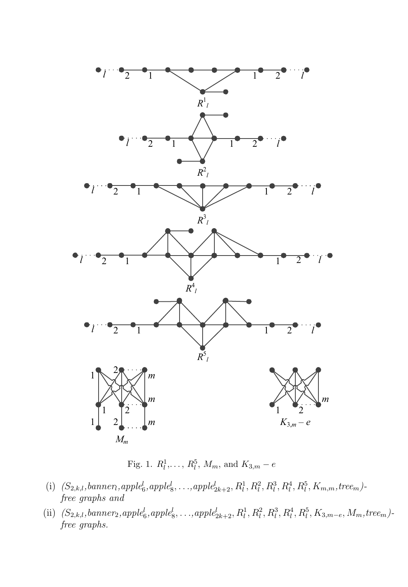

Fig. 1.  $R_l^1, \ldots, R_l^5, M_m$ , and  $K_{3,m} - e$ 

- (i)  $(S_{2,k,l}, banner, apple_6^l, apple_8^l, \ldots, apple_{2k+2}^l, R_l^1, R_l^2, R_l^3, R_l^4, R_l^5, K_{m,m}, tree_m)$ free graphs and
- (ii)  $(S_{2,k,l}, banner_2, apple_6^l, apple_8^l, \ldots, apple_{2k+2}^l, R_l^1, R_l^2, R_l^3, R_l^4, R_l^5, K_{3,m-e}, M_m, tree_m)$ free graphs.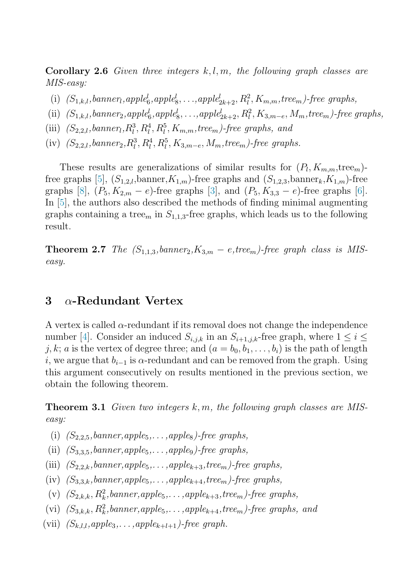**Corollary 2.6** Given three integers k, l, m, the following graph classes are MIS-easy:

- (i)  $(S_{1,k,l}, banner, apple_6^l, apple_8^l, \ldots, apple_{2k+2}^l, R_l^2, K_{m,m}, tree_m)$ -free graphs,
- (ii)  $(S_{1,k,l}, banner_2, apple_6^l, apple_8^l, \ldots, apple_{2k+2}^l, R_l^2, K_{3,m-e}, M_m, tree_m)$ -free graphs,
- (iii)  $(S_{2,2,l}, banner_l, R_l^3, R_l^4, R_l^5, K_{m,m}, tree_m)$ -free graphs, and
- (iv)  $(S_{2,2,l}, \text{banner}_2, R_l^3, R_l^4, R_l^5, K_{3,m-e}, M_m, \text{tree}_m)$ -free graphs.

These results are generalizations of similar results for  $(P_l, K_{m,m}, \text{tree}_m)$ -free graphs [\[5\]](#page-5-0),  $(S_{1,2,l}$ , banner,  $K_{1,m}$ )-free graphs and  $(S_{1,2,3,l}$ , banner,  $K_{1,m}$ )-free graphs [\[8\]](#page-6-0),  $(P_5, K_{2,m} - e)$ -free graphs [\[3\]](#page-5-0), and  $(P_5, K_{3,3} - e)$ -free graphs [\[6\]](#page-5-0). In [\[5\]](#page-5-0), the authors also described the methods of finding minimal augmenting graphs containing a tree<sub>m</sub> in  $S_{1,1,3}$ -free graphs, which leads us to the following result.

**Theorem 2.7** The  $(S_{1,1,3}, \text{banner}_2, K_{3,m} - e, \text{tree}_m)$ -free graph class is MISeasy.

## **3** α**-Redundant Vertex**

A vertex is called  $\alpha$ -redundant if its removal does not change the independence number [\[4\]](#page-5-0). Consider an induced  $S_{i,j,k}$  in an  $S_{i+1,j,k}$ -free graph, where  $1 \leq i \leq$ j, k; a is the vertex of degree three; and  $(a = b_0, b_1, \ldots, b_i)$  is the path of length i, we argue that  $b_{i-1}$  is  $\alpha$ -redundant and can be removed from the graph. Using this argument consecutively on results mentioned in the previous section, we obtain the following theorem.

**Theorem 3.1** Given two integers  $k, m$ , the following graph classes are MISeasy:

- (i)  $(S_{2,2,5}, banner, apple_5,...,apple_8)$ -free graphs,
- (ii)  $(S_{3,3,5}, \text{banner}, \text{apple}_5, \ldots, \text{apple}_9)$ -free graphs,
- (iii)  $(S_{2,2,k}, \text{banner}, \text{apple}_5, \ldots, \text{apple}_{k+3}, \text{tree}_m)$ -free graphs,
- (iv)  $(S_{3,3,k}, banner,apple_5,...,apple_{k+4},tree_m)$ -free graphs,
- (v)  $(S_{2,k,k}, R_k^2, banner, apple_5, \ldots, apple_{k+3}, tree_m)$ -free graphs,
- (vi)  $(S_{3,k,k}, R_k^2, banner, apple_5, \ldots, apple_{k+4}, tree_m)$ -free graphs, and
- (vii)  $(S_{k,l,l},apple_3,\ldots,apple_{k+l+1})$ -free graph.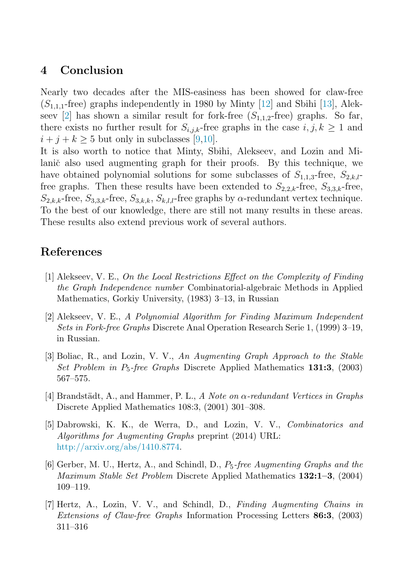### <span id="page-5-0"></span>**4 Conclusion**

Nearly two decades after the MIS-easiness has been showed for claw-free  $(S_{1,1,1}$ -free) graphs independently in 1980 by Minty [\[12\]](#page-6-0) and Sbihi [\[13\]](#page-6-0), Alekseev [2] has shown a similar result for fork-free  $(S_{1,1,2}$ -free) graphs. So far, there exists no further result for  $S_{i,j,k}$ -free graphs in the case  $i, j, k \geq 1$  and  $i + j + k \geq 5$  but only in subclasses [\[9,10\]](#page-6-0).

It is also worth to notice that Minty, Sbihi, Alekseev, and Lozin and Milanič also used augmenting graph for their proofs. By this technique, we have obtained polynomial solutions for some subclasses of  $S_{1,1,3}$ -free,  $S_{2,k,l}$ free graphs. Then these results have been extended to  $S_{2,2,k}$ -free,  $S_{3,3,k}$ -free,  $S_{2,k,k}$ -free,  $S_{3,3,k}$ -free,  $S_{3,k,k}$ ,  $S_{k,l,k}$ -free graphs by  $\alpha$ -redundant vertex technique. To the best of our knowledge, there are still not many results in these areas. These results also extend previous work of several authors.

### **References**

- [1] Alekseev, V. E., *On the Local Restrictions Effect on the Complexity of Finding the Graph Independence number* Combinatorial-algebraic Methods in Applied Mathematics, Gorkiy University, (1983) 3–13, in Russian
- [2] Alekseev, V. E., *A Polynomial Algorithm for Finding Maximum Independent Sets in Fork-free Graphs* Discrete Anal Operation Research Serie 1, (1999) 3–19, in Russian.
- [3] Boliac, R., and Lozin, V. V., *An Augmenting Graph Approach to the Stable Set Problem in* P5*-free Graphs* Discrete Applied Mathematics **131:3**, (2003) 567–575.
- [4] Brandst¨adt, A., and Hammer, P. L., *A Note on* α*-redundant Vertices in Graphs* Discrete Applied Mathematics 108:3, (2001) 301–308.
- [5] Dabrowski, K. K., de Werra, D., and Lozin, V. V., *Combinatorics and Algorithms for Augmenting Graphs* preprint (2014) URL: [http://arxiv.org/abs/1410.8774.](http://arxiv.org/abs/1410.8774)
- [6] Gerber, M. U., Hertz, A., and Schindl, D., P5*-free Augmenting Graphs and the Maximum Stable Set Problem* Discrete Applied Mathematics **132:1–3**, (2004) 109–119.
- [7] Hertz, A., Lozin, V. V., and Schindl, D., *Finding Augmenting Chains in Extensions of Claw-free Graphs* Information Processing Letters **86:3**, (2003) 311–316